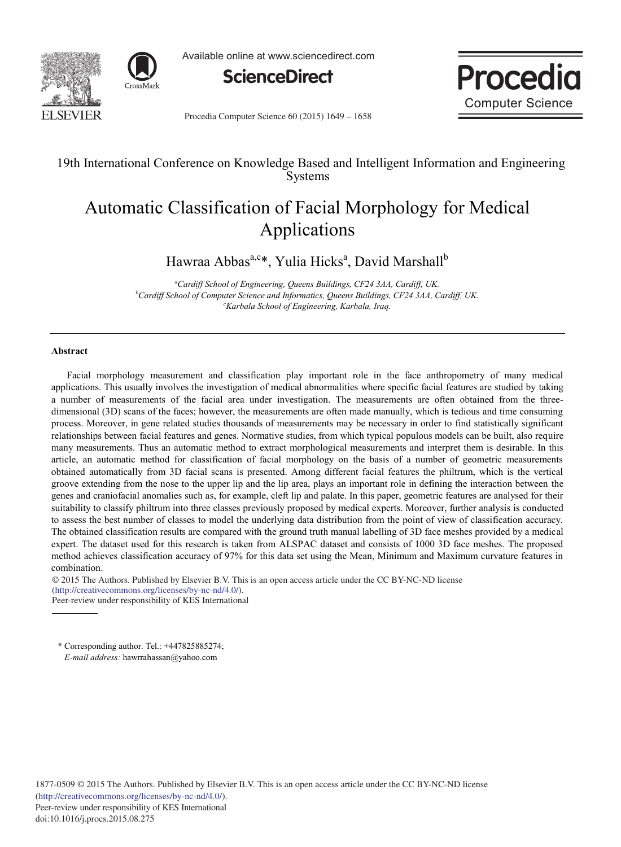



Available online at www.sciencedirect.com



Proce **Computer Science** 

Procedia Computer Science 60 (2015) 1649 - 1658

# 19th International Conference on Knowledge Based and Intelligent Information and Engineering **Systems**

# Automatic Classification of Facial Morphology for Medical Applications

Hawraa Abbas<sup>a,c\*</sup>, Yulia Hicks<sup>a</sup>, David Marshall<sup>b</sup>

*a Cardiff School of Engineering, Queens Buildings, CF24 3AA, Cardiff, UK. b Cardiff School of Computer Science and Informatics, Queens Buildings, CF24 3AA, Cardiff, UK. c Karbala School of Engineering, Karbala, Iraq.* 

# **Abstract**

Facial morphology measurement and classification play important role in the face anthropometry of many medical applications. This usually involves the investigation of medical abnormalities where specific facial features are studied by taking a number of measurements of the facial area under investigation. The measurements are often obtained from the threedimensional (3D) scans of the faces; however, the measurements are often made manually, which is tedious and time consuming process. Moreover, in gene related studies thousands of measurements may be necessary in order to find statistically significant relationships between facial features and genes. Normative studies, from which typical populous models can be built, also require many measurements. Thus an automatic method to extract morphological measurements and interpret them is desirable. In this article, an automatic method for classification of facial morphology on the basis of a number of geometric measurements obtained automatically from 3D facial scans is presented. Among different facial features the philtrum, which is the vertical groove extending from the nose to the upper lip and the lip area, plays an important role in defining the interaction between the genes and craniofacial anomalies such as, for example, cleft lip and palate. In this paper, geometric features are analysed for their suitability to classify philtrum into three classes previously proposed by medical experts. Moreover, further analysis is conducted to assess the best number of classes to model the underlying data distribution from the point of view of classification accuracy. The obtained classification results are compared with the ground truth manual labelling of 3D face meshes provided by a medical expert. The dataset used for this research is taken from ALSPAC dataset and consists of 1000 3D face meshes. The proposed method achieves classification accuracy of 97% for this data set using the Mean, Minimum and Maximum curvature features in combination.

© 2015 The Authors. Published by Elsevier B.V. © 2015 The Authors. Published by Elsevier B.V. This is an open access article under the CC BY-NC-ND license (http://creativecommons.org/licenses/by-nc-nd/4.0/). Peer-review under responsibility of KES International

\* Corresponding author. Tel.: +447825885274; *E-mail address:* hawrrahassan@yahoo.com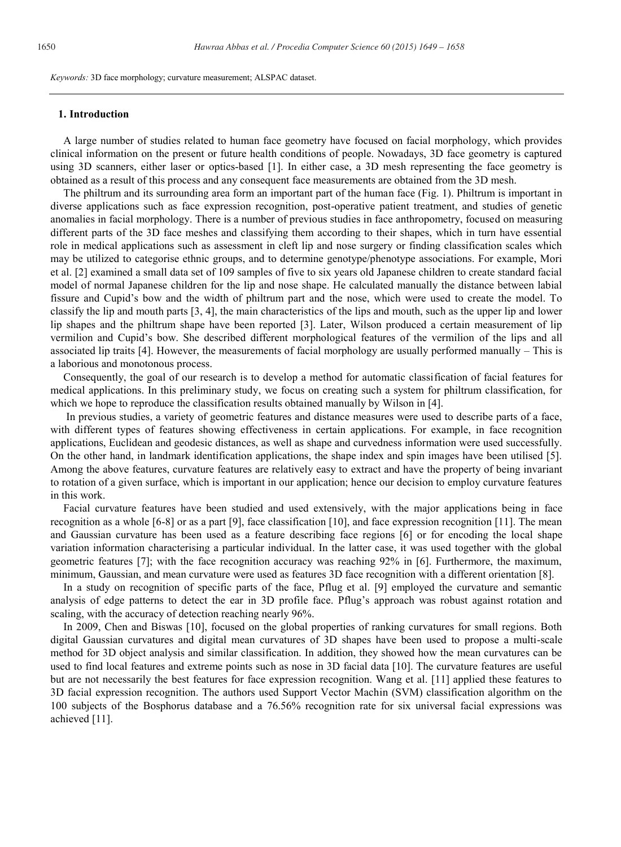*Keywords:* 3D face morphology; curvature measurement; ALSPAC dataset.

#### **1. Introduction**

A large number of studies related to human face geometry have focused on facial morphology, which provides clinical information on the present or future health conditions of people. Nowadays, 3D face geometry is captured using 3D scanners, either laser or optics-based [1]. In either case, a 3D mesh representing the face geometry is obtained as a result of this process and any consequent face measurements are obtained from the 3D mesh.

The philtrum and its surrounding area form an important part of the human face (Fig. 1). Philtrum is important in diverse applications such as face expression recognition, post-operative patient treatment, and studies of genetic anomalies in facial morphology. There is a number of previous studies in face anthropometry, focused on measuring different parts of the 3D face meshes and classifying them according to their shapes, which in turn have essential role in medical applications such as assessment in cleft lip and nose surgery or finding classification scales which may be utilized to categorise ethnic groups, and to determine genotype/phenotype associations. For example, Mori et al. [2] examined a small data set of 109 samples of five to six years old Japanese children to create standard facial model of normal Japanese children for the lip and nose shape. He calculated manually the distance between labial fissure and Cupid's bow and the width of philtrum part and the nose, which were used to create the model. To classify the lip and mouth parts [3, 4], the main characteristics of the lips and mouth, such as the upper lip and lower lip shapes and the philtrum shape have been reported [3]. Later, Wilson produced a certain measurement of lip vermilion and Cupid's bow. She described different morphological features of the vermilion of the lips and all associated lip traits [4]. However, the measurements of facial morphology are usually performed manually – This is a laborious and monotonous process.

Consequently, the goal of our research is to develop a method for automatic classification of facial features for medical applications. In this preliminary study, we focus on creating such a system for philtrum classification, for which we hope to reproduce the classification results obtained manually by Wilson in [4].

In previous studies, a variety of geometric features and distance measures were used to describe parts of a face, with different types of features showing effectiveness in certain applications. For example, in face recognition applications, Euclidean and geodesic distances, as well as shape and curvedness information were used successfully. On the other hand, in landmark identification applications, the shape index and spin images have been utilised [5]. Among the above features, curvature features are relatively easy to extract and have the property of being invariant to rotation of a given surface, which is important in our application; hence our decision to employ curvature features in this work.

Facial curvature features have been studied and used extensively, with the major applications being in face recognition as a whole [6-8] or as a part [9], face classification [10], and face expression recognition [11]. The mean and Gaussian curvature has been used as a feature describing face regions [6] or for encoding the local shape variation information characterising a particular individual. In the latter case, it was used together with the global geometric features [7]; with the face recognition accuracy was reaching 92% in [6]. Furthermore, the maximum, minimum, Gaussian, and mean curvature were used as features 3D face recognition with a different orientation [8].

In a study on recognition of specific parts of the face, Pflug et al. [9] employed the curvature and semantic analysis of edge patterns to detect the ear in 3D profile face. Pflug's approach was robust against rotation and scaling, with the accuracy of detection reaching nearly 96%.

In 2009, Chen and Biswas [10], focused on the global properties of ranking curvatures for small regions. Both digital Gaussian curvatures and digital mean curvatures of 3D shapes have been used to propose a multi-scale method for 3D object analysis and similar classification. In addition, they showed how the mean curvatures can be used to find local features and extreme points such as nose in 3D facial data [10]. The curvature features are useful but are not necessarily the best features for face expression recognition. Wang et al. [11] applied these features to 3D facial expression recognition. The authors used Support Vector Machin (SVM) classification algorithm on the 100 subjects of the Bosphorus database and a 76.56% recognition rate for six universal facial expressions was achieved [11].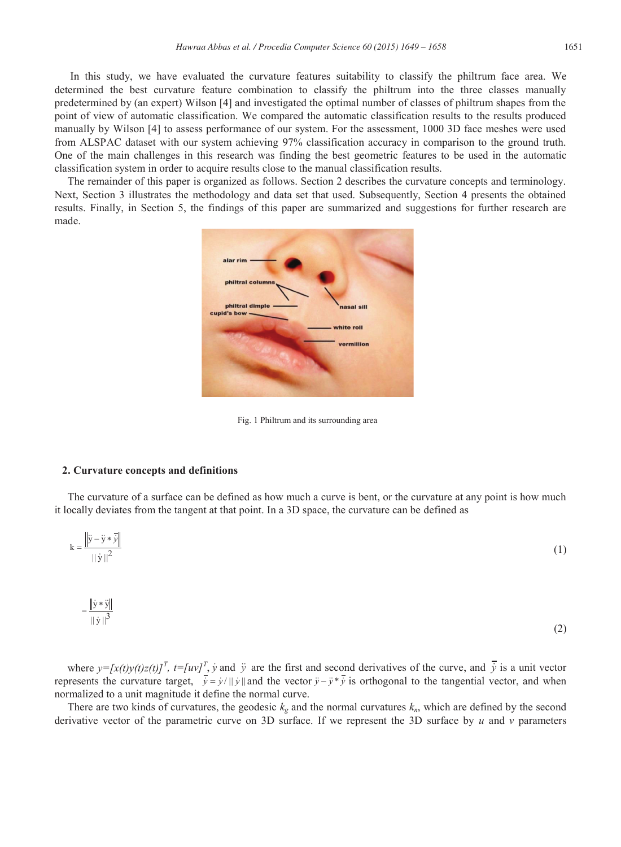In this study, we have evaluated the curvature features suitability to classify the philtrum face area. We determined the best curvature feature combination to classify the philtrum into the three classes manually predetermined by (an expert) Wilson [4] and investigated the optimal number of classes of philtrum shapes from the point of view of automatic classification. We compared the automatic classification results to the results produced manually by Wilson [4] to assess performance of our system. For the assessment, 1000 3D face meshes were used from ALSPAC dataset with our system achieving 97% classification accuracy in comparison to the ground truth. One of the main challenges in this research was finding the best geometric features to be used in the automatic classification system in order to acquire results close to the manual classification results.

The remainder of this paper is organized as follows. Section 2 describes the curvature concepts and terminology. Next, Section 3 illustrates the methodology and data set that used. Subsequently, Section 4 presents the obtained results. Finally, in Section 5, the findings of this paper are summarized and suggestions for further research are made.



Fig. 1 Philtrum and its surrounding area

# **2. Curvature concepts and definitions**

The curvature of a surface can be defined as how much a curve is bent, or the curvature at any point is how much it locally deviates from the tangent at that point. In a 3D space, the curvature can be defined as

$$
k = \frac{\left\| \ddot{y} - \ddot{y} * \ddot{y} \right\|}{\| \dot{y} \|^2}
$$
 (1)

$$
=\frac{\|\dot{\mathbf{y}}*\ddot{\mathbf{y}}\|}{\|\dot{\mathbf{y}}\|^3}
$$
 (2)

where  $y = [x(t)y(t)z(t)]^T$ ,  $t = [uv]^T$ ,  $\dot{y}$  and  $\ddot{y}$  are the first and second derivatives of the curve, and  $\ddot{y}$  is a unit vector represents the curvature target,  $\vec{y} = \vec{y}/||\vec{y}||$  and the vector  $\vec{y} - \vec{y} * \vec{y}$  is orthogonal to the tangential vector, and when normalized to a unit magnitude it define the normal curve.

There are two kinds of curvatures, the geodesic  $k_g$  and the normal curvatures  $k_n$ , which are defined by the second derivative vector of the parametric curve on 3D surface. If we represent the 3D surface by *u* and *v* parameters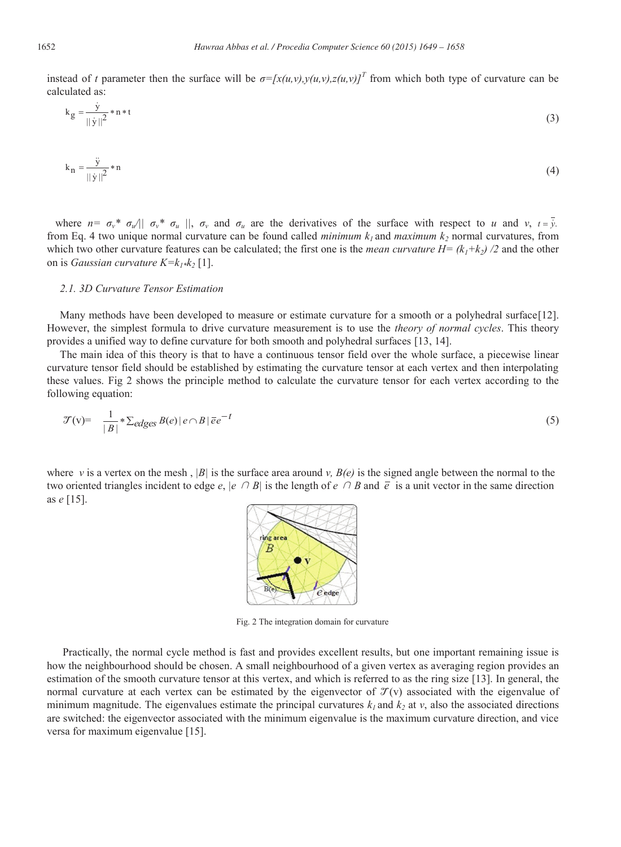instead of *t* parameter then the surface will be  $\sigma = [x(u,v),y(u,v),z(u,v)]^T$  from which both type of curvature can be calculated as:

$$
k_g = \frac{\dot{y}}{\|\dot{y}\|^2} * n * t \tag{3}
$$

$$
k_n = \frac{\ddot{y}}{\|\dot{y}\|^2} * n \tag{4}
$$

where  $n = \sigma_v^* \sigma_u / |\sigma_v^* \sigma_u|$ ,  $\sigma_v$  and  $\sigma_u$  are the derivatives of the surface with respect to u and v,  $t = v$ . from Eq. 4 two unique normal curvature can be found called *minimum*  $k_1$  and *maximum*  $k_2$  normal curvatures, from which two other curvature features can be calculated; the first one is the *mean curvature*  $H = (k_1 + k_2) / 2$  and the other on is *Gaussian curvature*  $K=k_{1*}k_{2}[1]$ .

# *2.1. 3D Curvature Tensor Estimation*

Many methods have been developed to measure or estimate curvature for a smooth or a polyhedral surface[12]. However, the simplest formula to drive curvature measurement is to use the *theory of normal cycles*. This theory provides a unified way to define curvature for both smooth and polyhedral surfaces [13, 14].

The main idea of this theory is that to have a continuous tensor field over the whole surface, a piecewise linear curvature tensor field should be established by estimating the curvature tensor at each vertex and then interpolating these values. Fig 2 shows the principle method to calculate the curvature tensor for each vertex according to the following equation:

$$
\mathcal{T}(v) = \frac{1}{|B|} * \sum_{e \leq e} B(e) |e \cap B| \overline{e}e^{-t}
$$
\n
$$
(5)
$$

where *v* is a vertex on the mesh,  $|B|$  is the surface area around *v*,  $B(e)$  is the signed angle between the normal to the two oriented triangles incident to edge  $e$ ,  $|e \cap B|$  is the length of  $e \cap B$  and  $\overline{e}$  is a unit vector in the same direction as *e* [15].



Fig. 2 The integration domain for curvature

 Practically, the normal cycle method is fast and provides excellent results, but one important remaining issue is how the neighbourhood should be chosen. A small neighbourhood of a given vertex as averaging region provides an estimation of the smooth curvature tensor at this vertex, and which is referred to as the ring size [13]. In general, the normal curvature at each vertex can be estimated by the eigenvector of  $\mathcal{T}(v)$  associated with the eigenvalue of minimum magnitude. The eigenvalues estimate the principal curvatures  $k_1$  and  $k_2$  at  $v$ , also the associated directions are switched: the eigenvector associated with the minimum eigenvalue is the maximum curvature direction, and vice versa for maximum eigenvalue [15].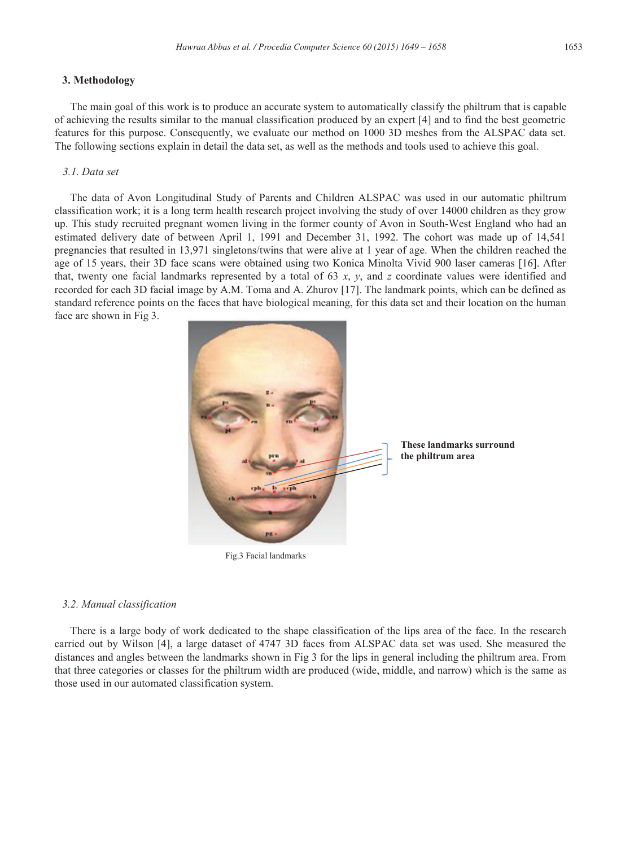## **3. Methodology**

 The main goal of this work is to produce an accurate system to automatically classify the philtrum that is capable of achieving the results similar to the manual classification produced by an expert [4] and to find the best geometric features for this purpose. Consequently, we evaluate our method on 1000 3D meshes from the ALSPAC data set. The following sections explain in detail the data set, as well as the methods and tools used to achieve this goal.

## *3.1. Data set*

 The data of Avon Longitudinal Study of Parents and Children ALSPAC was used in our automatic philtrum classification work; it is a long term health research project involving the study of over 14000 children as they grow up. This study recruited pregnant women living in the former county of Avon in South-West England who had an estimated delivery date of between April 1, 1991 and December 31, 1992. The cohort was made up of 14,541 pregnancies that resulted in 13,971 singletons/twins that were alive at 1 year of age. When the children reached the age of 15 years, their 3D face scans were obtained using two Konica Minolta Vivid 900 laser cameras [16]. After that, twenty one facial landmarks represented by a total of 63 *x*, *y*, and *z* coordinate values were identified and recorded for each 3D facial image by A.M. Toma and A. Zhurov [17]. The landmark points, which can be defined as standard reference points on the faces that have biological meaning, for this data set and their location on the human face are shown in Fig 3.



Fig.3 Facial landmarks

# *3.2. Manual classification*

 There is a large body of work dedicated to the shape classification of the lips area of the face. In the research carried out by Wilson [4], a large dataset of 4747 3D faces from ALSPAC data set was used. She measured the distances and angles between the landmarks shown in Fig 3 for the lips in general including the philtrum area. From that three categories or classes for the philtrum width are produced (wide, middle, and narrow) which is the same as those used in our automated classification system.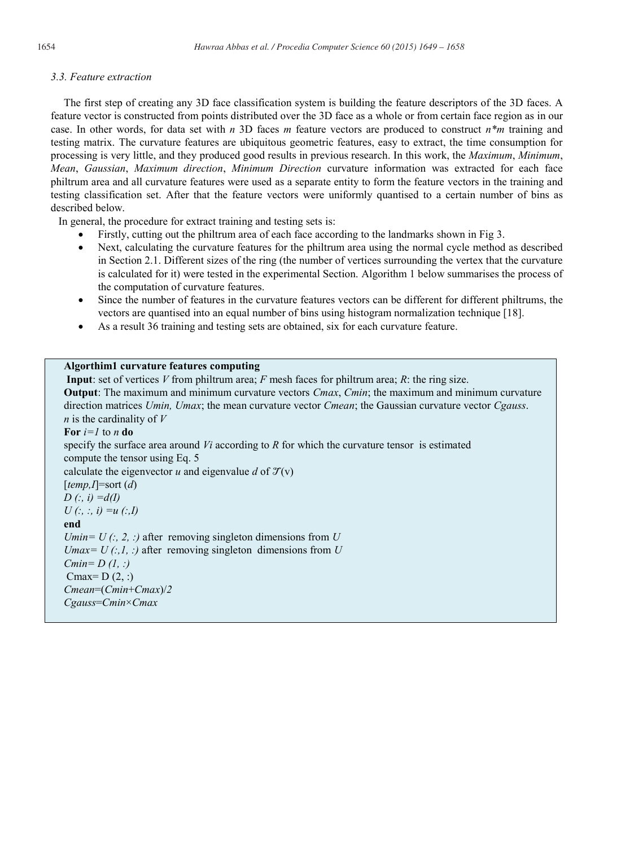# *3.3. Feature extraction*

The first step of creating any 3D face classification system is building the feature descriptors of the 3D faces. A feature vector is constructed from points distributed over the 3D face as a whole or from certain face region as in our case. In other words, for data set with *n* 3D faces *m* feature vectors are produced to construct *n\*m* training and testing matrix. The curvature features are ubiquitous geometric features, easy to extract, the time consumption for processing is very little, and they produced good results in previous research. In this work, the *Maximum*, *Minimum*, *Mean*, *Gaussian*, *Maximum direction*, *Minimum Direction* curvature information was extracted for each face philtrum area and all curvature features were used as a separate entity to form the feature vectors in the training and testing classification set. After that the feature vectors were uniformly quantised to a certain number of bins as described below.

In general, the procedure for extract training and testing sets is:

- Firstly, cutting out the philtrum area of each face according to the landmarks shown in Fig 3.
- Next, calculating the curvature features for the philtrum area using the normal cycle method as described in Section 2.1. Different sizes of the ring (the number of vertices surrounding the vertex that the curvature is calculated for it) were tested in the experimental Section. Algorithm 1 below summarises the process of the computation of curvature features.
- Since the number of features in the curvature features vectors can be different for different philtrums, the vectors are quantised into an equal number of bins using histogram normalization technique [18].
- As a result 36 training and testing sets are obtained, six for each curvature feature.

# **Algorthim1 curvature features computing**

**Input**: set of vertices *V* from philtrum area; *F* mesh faces for philtrum area; *R*: the ring size. **Output**: The maximum and minimum curvature vectors *Cmax*, *Cmin*; the maximum and minimum curvature direction matrices *Umin, Umax*; the mean curvature vector *Cmean*; the Gaussian curvature vector *Cgauss*. *n* is the cardinality of *V* **For** *i=1* to *n* **do** specify the surface area around *Vi* according to *R* for which the curvature tensor is estimated compute the tensor using Eq. 5 calculate the eigenvector  $u$  and eigenvalue  $d$  of  $\mathcal{T}(v)$ [*temp,I*]=sort (*d*) *D (:, i) =d(I) U (:, :, i) =u (:,I)* **end** *Umin= U (:, 2, :)* after removing singleton dimensions from *U Umax= U (:,1, :)* after removing singleton dimensions from *U Cmin= D (1, :)* Cmax=  $D(2, :)$ *Cmean*=(*Cmin*+*Cmax*)/*2 Cgauss*=*Cmin*×*Cmax*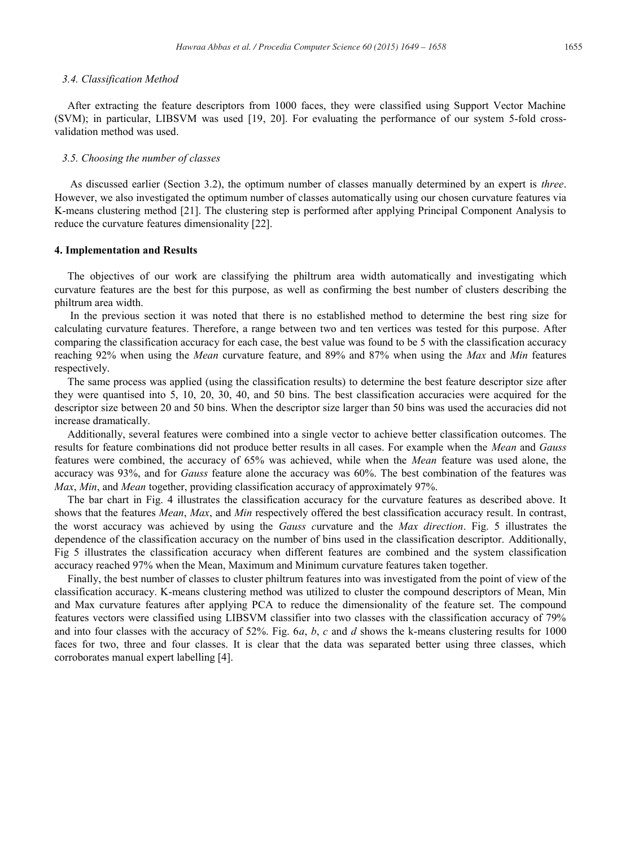#### *3.4. Classification Method*

After extracting the feature descriptors from 1000 faces, they were classified using Support Vector Machine (SVM); in particular, LIBSVM was used [19, 20]. For evaluating the performance of our system 5-fold crossvalidation method was used.

#### *3.5. Choosing the number of classes*

As discussed earlier (Section 3.2), the optimum number of classes manually determined by an expert is *three*. However, we also investigated the optimum number of classes automatically using our chosen curvature features via K-means clustering method [21]. The clustering step is performed after applying Principal Component Analysis to reduce the curvature features dimensionality [22].

#### **4. Implementation and Results**

The objectives of our work are classifying the philtrum area width automatically and investigating which curvature features are the best for this purpose, as well as confirming the best number of clusters describing the philtrum area width.

In the previous section it was noted that there is no established method to determine the best ring size for calculating curvature features. Therefore, a range between two and ten vertices was tested for this purpose. After comparing the classification accuracy for each case, the best value was found to be 5 with the classification accuracy reaching 92% when using the *Mean* curvature feature, and 89% and 87% when using the *Max* and *Min* features respectively.

The same process was applied (using the classification results) to determine the best feature descriptor size after they were quantised into 5, 10, 20, 30, 40, and 50 bins. The best classification accuracies were acquired for the descriptor size between 20 and 50 bins. When the descriptor size larger than 50 bins was used the accuracies did not increase dramatically.

Additionally, several features were combined into a single vector to achieve better classification outcomes. The results for feature combinations did not produce better results in all cases. For example when the *Mean* and *Gauss*  features were combined, the accuracy of 65% was achieved, while when the *Mean* feature was used alone, the accuracy was 93%, and for *Gauss* feature alone the accuracy was 60%. The best combination of the features was *Max*, *Min*, and *Mean* together, providing classification accuracy of approximately 97%.

The bar chart in Fig. 4 illustrates the classification accuracy for the curvature features as described above. It shows that the features *Mean*, *Max*, and *Min* respectively offered the best classification accuracy result. In contrast, the worst accuracy was achieved by using the *Gauss c*urvature and the *Max direction*. Fig. 5 illustrates the dependence of the classification accuracy on the number of bins used in the classification descriptor. Additionally, Fig 5 illustrates the classification accuracy when different features are combined and the system classification accuracy reached 97% when the Mean, Maximum and Minimum curvature features taken together.

Finally, the best number of classes to cluster philtrum features into was investigated from the point of view of the classification accuracy. K-means clustering method was utilized to cluster the compound descriptors of Mean, Min and Max curvature features after applying PCA to reduce the dimensionality of the feature set. The compound features vectors were classified using LIBSVM classifier into two classes with the classification accuracy of 79% and into four classes with the accuracy of 52%. Fig. 6*a*, *b*, *c* and *d* shows the k-means clustering results for 1000 faces for two, three and four classes. It is clear that the data was separated better using three classes, which corroborates manual expert labelling [4].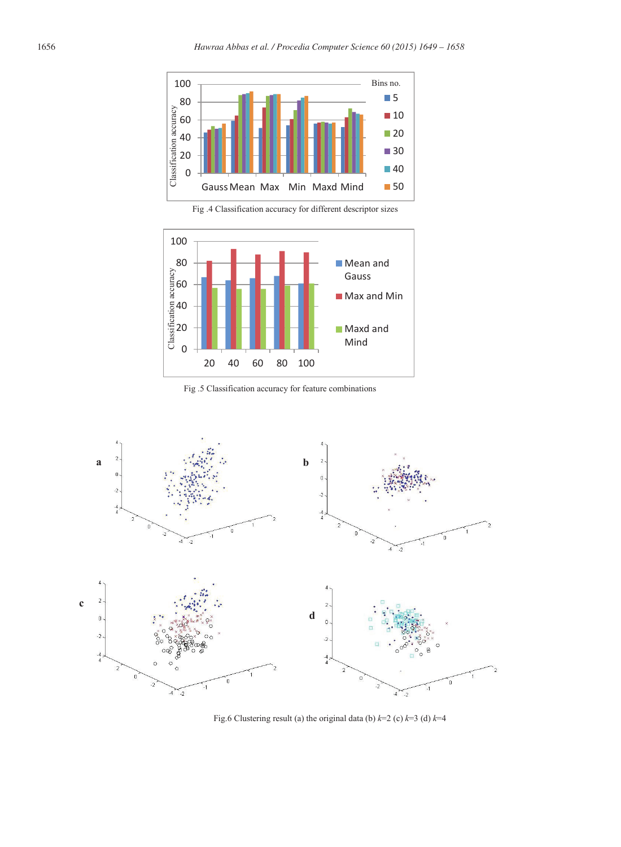

Fig .4 Classification accuracy for different descriptor sizes



Fig .5 Classification accuracy for feature combinations



Fig.6 Clustering result (a) the original data (b) *k*=2 (c) *k*=3 (d) *k*=4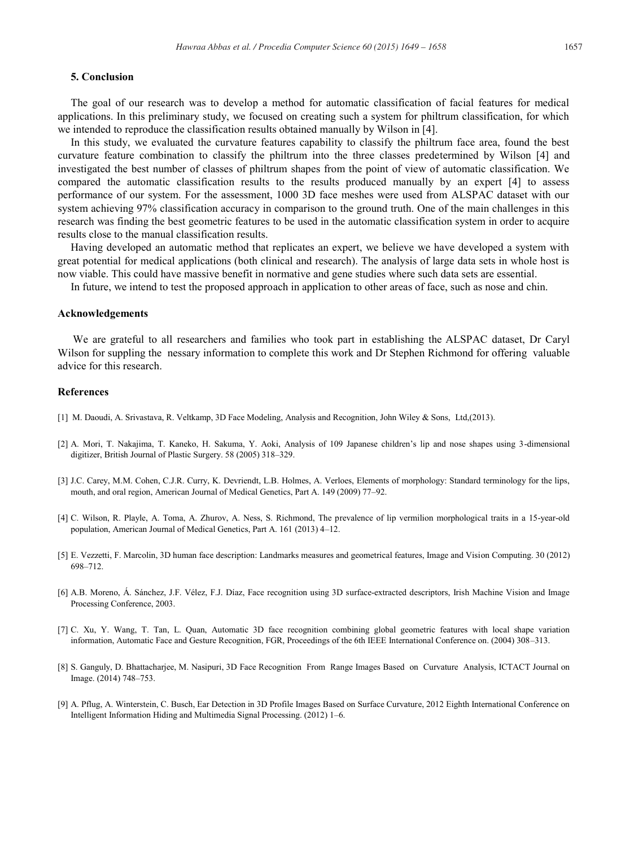The goal of our research was to develop a method for automatic classification of facial features for medical applications. In this preliminary study, we focused on creating such a system for philtrum classification, for which we intended to reproduce the classification results obtained manually by Wilson in [4].

In this study, we evaluated the curvature features capability to classify the philtrum face area, found the best curvature feature combination to classify the philtrum into the three classes predetermined by Wilson [4] and investigated the best number of classes of philtrum shapes from the point of view of automatic classification. We compared the automatic classification results to the results produced manually by an expert [4] to assess performance of our system. For the assessment, 1000 3D face meshes were used from ALSPAC dataset with our system achieving 97% classification accuracy in comparison to the ground truth. One of the main challenges in this research was finding the best geometric features to be used in the automatic classification system in order to acquire results close to the manual classification results.

Having developed an automatic method that replicates an expert, we believe we have developed a system with great potential for medical applications (both clinical and research). The analysis of large data sets in whole host is now viable. This could have massive benefit in normative and gene studies where such data sets are essential.

In future, we intend to test the proposed approach in application to other areas of face, such as nose and chin.

#### **Acknowledgements**

We are grateful to all researchers and families who took part in establishing the ALSPAC dataset, Dr Caryl Wilson for suppling the nessary information to complete this work and Dr Stephen Richmond for offering valuable advice for this research.

#### **References**

- [1] M. Daoudi, A. Srivastava, R. Veltkamp, 3D Face Modeling, Analysis and Recognition, John Wiley & Sons, Ltd,(2013).
- [2] A. Mori, T. Nakajima, T. Kaneko, H. Sakuma, Y. Aoki, Analysis of 109 Japanese children's lip and nose shapes using 3-dimensional digitizer, British Journal of Plastic Surgery. 58 (2005) 318–329.
- [3] J.C. Carey, M.M. Cohen, C.J.R. Curry, K. Devriendt, L.B. Holmes, A. Verloes, Elements of morphology: Standard terminology for the lips, mouth, and oral region, American Journal of Medical Genetics, Part A. 149 (2009) 77–92.
- [4] C. Wilson, R. Playle, A. Toma, A. Zhurov, A. Ness, S. Richmond, The prevalence of lip vermilion morphological traits in a 15-year-old population, American Journal of Medical Genetics, Part A. 161 (2013) 4–12.
- [5] E. Vezzetti, F. Marcolin, 3D human face description: Landmarks measures and geometrical features, Image and Vision Computing. 30 (2012) 698–712.
- [6] A.B. Moreno, Á. Sánchez, J.F. Vélez, F.J. Díaz, Face recognition using 3D surface-extracted descriptors, Irish Machine Vision and Image Processing Conference, 2003.
- [7] C. Xu, Y. Wang, T. Tan, L. Quan, Automatic 3D face recognition combining global geometric features with local shape variation information, Automatic Face and Gesture Recognition, FGR, Proceedings of the 6th IEEE International Conference on. (2004) 308–313.
- [8] S. Ganguly, D. Bhattacharjee, M. Nasipuri, 3D Face Recognition From Range Images Based on Curvature Analysis, ICTACT Journal on Image. (2014) 748–753.
- [9] A. Pflug, A. Winterstein, C. Busch, Ear Detection in 3D Profile Images Based on Surface Curvature, 2012 Eighth International Conference on Intelligent Information Hiding and Multimedia Signal Processing. (2012) 1–6.